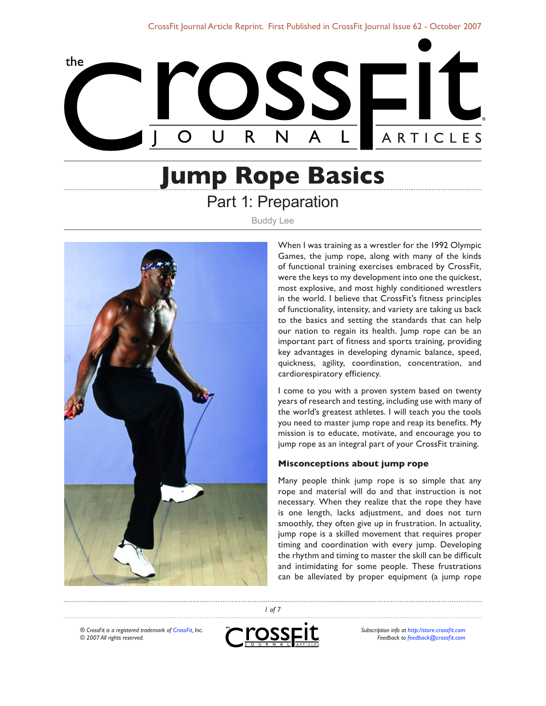

# **Jump Rope Basics** Part 1: Preparation

Buddy Lee



When I was training as a wrestler for the 1992 Olympic Games, the jump rope, along with many of the kinds of functional training exercises embraced by CrossFit, were the keys to my development into one the quickest, most explosive, and most highly conditioned wrestlers in the world. I believe that CrossFit's fitness principles of functionality, intensity, and variety are taking us back to the basics and setting the standards that can help our nation to regain its health. Jump rope can be an important part of fitness and sports training, providing key advantages in developing dynamic balance, speed, quickness, agility, coordination, concentration, and cardiorespiratory efficiency.

I come to you with a proven system based on twenty years of research and testing, including use with many of the world's greatest athletes. I will teach you the tools you need to master jump rope and reap its benefits. My mission is to educate, motivate, and encourage you to jump rope as an integral part of your CrossFit training.

## **Misconceptions about jump rope**

Many people think jump rope is so simple that any rope and material will do and that instruction is not necessary. When they realize that the rope they have is one length, lacks adjustment, and does not turn smoothly, they often give up in frustration. In actuality, jump rope is a skilled movement that requires proper timing and coordination with every jump. Developing the rhythm and timing to master the skill can be difficult and intimidating for some people. These frustrations can be alleviated by proper equipment (a jump rope

*® CrossFit is a registered trademark of [CrossFit,](http://www.crossfit.com) Inc. © 2007 All rights reserved.*



*1 of 7*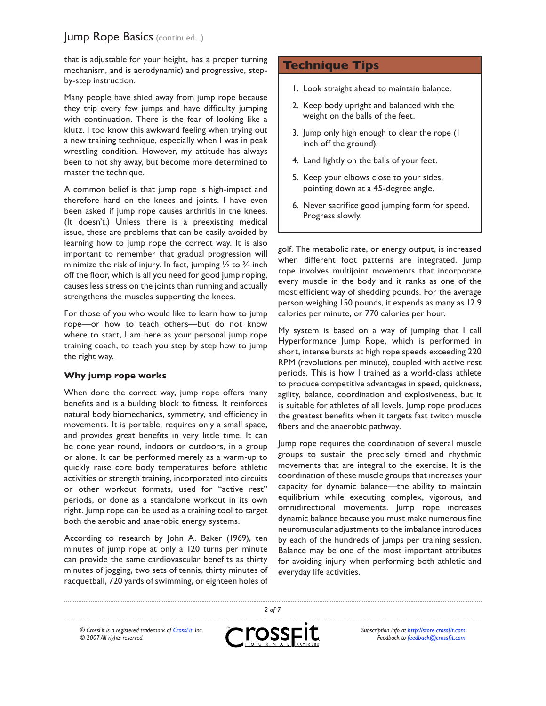that is adjustable for your height, has a proper turning mechanism, and is aerodynamic) and progressive, stepby-step instruction.

Many people have shied away from jump rope because they trip every few jumps and have difficulty jumping with continuation. There is the fear of looking like a klutz. I too know this awkward feeling when trying out a new training technique, especially when I was in peak wrestling condition. However, my attitude has always been to not shy away, but become more determined to master the technique.

A common belief is that jump rope is high-impact and therefore hard on the knees and joints. I have even been asked if jump rope causes arthritis in the knees. (It doesn't.) Unless there is a preexisting medical issue, these are problems that can be easily avoided by learning how to jump rope the correct way. It is also important to remember that gradual progression will minimize the risk of injury. In fact, jumping  $\frac{1}{2}$  to  $\frac{3}{4}$  inch off the floor, which is all you need for good jump roping, causes less stress on the joints than running and actually strengthens the muscles supporting the knees.

For those of you who would like to learn how to jump rope—or how to teach others—but do not know where to start, I am here as your personal jump rope training coach, to teach you step by step how to jump the right way.

## **Why jump rope works**

When done the correct way, jump rope offers many benefits and is a building block to fitness. It reinforces natural body biomechanics, symmetry, and efficiency in movements. It is portable, requires only a small space, and provides great benefits in very little time. It can be done year round, indoors or outdoors, in a group or alone. It can be performed merely as a warm-up to quickly raise core body temperatures before athletic activities or strength training, incorporated into circuits or other workout formats, used for "active rest" periods, or done as a standalone workout in its own right. Jump rope can be used as a training tool to target both the aerobic and anaerobic energy systems.

According to research by John A. Baker (1969), ten minutes of jump rope at only a 120 turns per minute can provide the same cardiovascular benefits as thirty minutes of jogging, two sets of tennis, thirty minutes of racquetball, 720 yards of swimming, or eighteen holes of

# **Technique Tips**

- Look straight ahead to maintain balance. 1.
- 2. Keep body upright and balanced with the weight on the balls of the feet.
- 3. Jump only high enough to clear the rope (I inch off the ground).
- 4. Land lightly on the balls of your feet.
- 5. Keep your elbows close to your sides, pointing down at a 45-degree angle.
- 6. Never sacrifice good jumping form for speed. Progress slowly.

golf. The metabolic rate, or energy output, is increased when different foot patterns are integrated. Jump rope involves multijoint movements that incorporate every muscle in the body and it ranks as one of the most efficient way of shedding pounds. For the average person weighing 150 pounds, it expends as many as 12.9 calories per minute, or 770 calories per hour.

My system is based on a way of jumping that I call Hyperformance Jump Rope, which is performed in short, intense bursts at high rope speeds exceeding 220 RPM (revolutions per minute), coupled with active rest periods. This is how I trained as a world-class athlete to produce competitive advantages in speed, quickness, agility, balance, coordination and explosiveness, but it is suitable for athletes of all levels. Jump rope produces the greatest benefits when it targets fast twitch muscle fibers and the anaerobic pathway.

Jump rope requires the coordination of several muscle groups to sustain the precisely timed and rhythmic movements that are integral to the exercise. It is the coordination of these muscle groups that increases your capacity for dynamic balance—the ability to maintain equilibrium while executing complex, vigorous, and omnidirectional movements. Jump rope increases dynamic balance because you must make numerous fine neuromuscular adjustments to the imbalance introduces by each of the hundreds of jumps per training session. Balance may be one of the most important attributes for avoiding injury when performing both athletic and everyday life activities.

*® CrossFit is a registered trademark of [CrossFit,](http://www.crossfit.com) Inc. © 2007 All rights reserved.*



*2 of 7*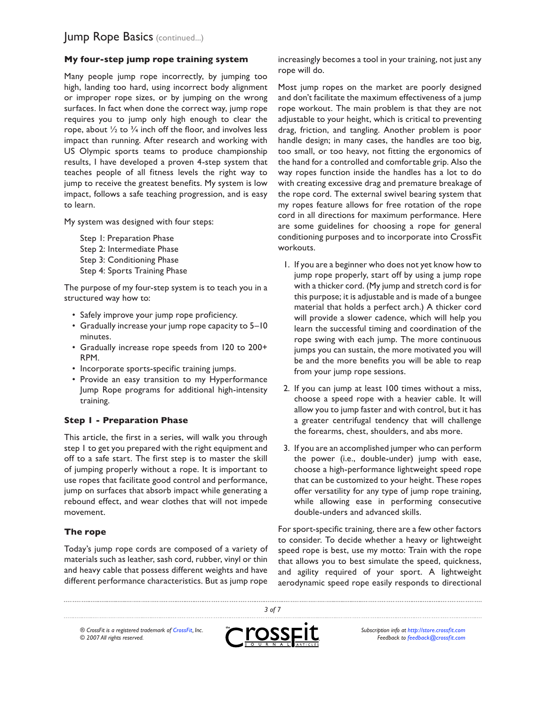# **My four-step jump rope training system**

Many people jump rope incorrectly, by jumping too high, landing too hard, using incorrect body alignment or improper rope sizes, or by jumping on the wrong surfaces. In fact when done the correct way, jump rope requires you to jump only high enough to clear the rope, about  $\frac{1}{2}$  to  $\frac{3}{4}$  inch off the floor, and involves less impact than running. After research and working with US Olympic sports teams to produce championship results, I have developed a proven 4-step system that teaches people of all fitness levels the right way to jump to receive the greatest benefits. My system is low impact, follows a safe teaching progression, and is easy to learn.

My system was designed with four steps:

Step 1: Preparation Phase Step 2: Intermediate Phase Step 3: Conditioning Phase Step 4: Sports Training Phase

The purpose of my four-step system is to teach you in a structured way how to:

- Safely improve your jump rope proficiency.
- Gradually increase your jump rope capacity to 5-10 minutes.
- Gradually increase rope speeds from 120 to 200+ RPM.
- Incorporate sports-specific training jumps.
- Provide an easy transition to my Hyperformance Jump Rope programs for additional high-intensity training.

## **Step 1 - Preparation Phase**

This article, the first in a series, will walk you through step 1 to get you prepared with the right equipment and off to a safe start. The first step is to master the skill of jumping properly without a rope. It is important to use ropes that facilitate good control and performance, jump on surfaces that absorb impact while generating a rebound effect, and wear clothes that will not impede movement.

## **The rope**

Today's jump rope cords are composed of a variety of materials such as leather, sash cord, rubber, vinyl or thin and heavy cable that possess different weights and have different performance characteristics. But as jump rope

increasingly becomes a tool in your training, not just any rope will do.

Most jump ropes on the market are poorly designed and don't facilitate the maximum effectiveness of a jump rope workout. The main problem is that they are not adjustable to your height, which is critical to preventing drag, friction, and tangling. Another problem is poor handle design; in many cases, the handles are too big, too small, or too heavy, not fitting the ergonomics of the hand for a controlled and comfortable grip. Also the way ropes function inside the handles has a lot to do with creating excessive drag and premature breakage of the rope cord. The external swivel bearing system that my ropes feature allows for free rotation of the rope cord in all directions for maximum performance. Here are some guidelines for choosing a rope for general conditioning purposes and to incorporate into CrossFit workouts.

- I. If you are a beginner who does not yet know how to jump rope properly, start off by using a jump rope with a thicker cord. (My jump and stretch cord is for this purpose; it is adjustable and is made of a bungee material that holds a perfect arch.) A thicker cord will provide a slower cadence, which will help you learn the successful timing and coordination of the rope swing with each jump. The more continuous jumps you can sustain, the more motivated you will be and the more benefits you will be able to reap from your jump rope sessions.
- 2. If you can jump at least 100 times without a miss, choose a speed rope with a heavier cable. It will allow you to jump faster and with control, but it has a greater centrifugal tendency that will challenge the forearms, chest, shoulders, and abs more.
- 3. If you are an accomplished jumper who can perform the power (i.e., double-under) jump with ease, choose a high-performance lightweight speed rope that can be customized to your height. These ropes offer versatility for any type of jump rope training, while allowing ease in performing consecutive double-unders and advanced skills.

For sport-specific training, there are a few other factors to consider. To decide whether a heavy or lightweight speed rope is best, use my motto: Train with the rope that allows you to best simulate the speed, quickness, and agility required of your sport. A lightweight aerodynamic speed rope easily responds to directional

*® CrossFit is a registered trademark of [CrossFit,](http://www.crossfit.com) Inc. © 2007 All rights reserved.*



*3 of 7*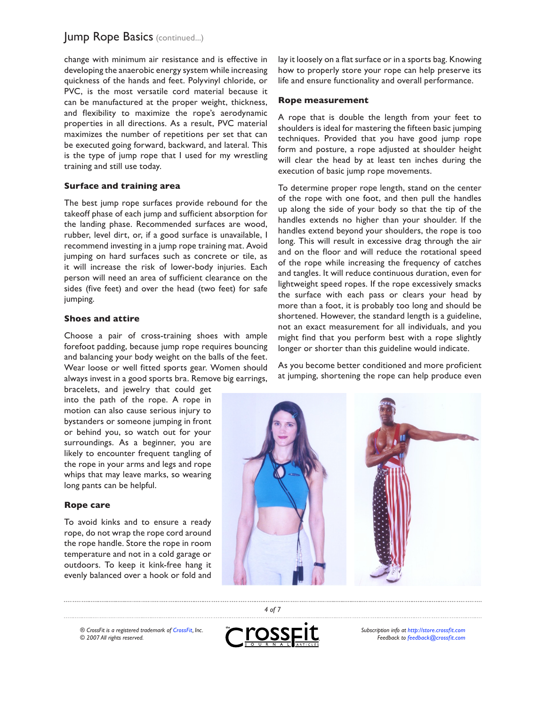change with minimum air resistance and is effective in developing the anaerobic energy system while increasing quickness of the hands and feet. Polyvinyl chloride, or PVC, is the most versatile cord material because it can be manufactured at the proper weight, thickness, and flexibility to maximize the rope's aerodynamic properties in all directions. As a result, PVC material maximizes the number of repetitions per set that can be executed going forward, backward, and lateral. This is the type of jump rope that I used for my wrestling training and still use today.

## **Surface and training area**

The best jump rope surfaces provide rebound for the takeoff phase of each jump and sufficient absorption for the landing phase. Recommended surfaces are wood, rubber, level dirt, or, if a good surface is unavailable, I recommend investing in a jump rope training mat. Avoid jumping on hard surfaces such as concrete or tile, as it will increase the risk of lower-body injuries. Each person will need an area of sufficient clearance on the sides (five feet) and over the head (two feet) for safe jumping.

#### **Shoes and attire**

Choose a pair of cross-training shoes with ample forefoot padding, because jump rope requires bouncing and balancing your body weight on the balls of the feet. Wear loose or well fitted sports gear. Women should always invest in a good sports bra. Remove big earrings,

bracelets, and jewelry that could get into the path of the rope. A rope in motion can also cause serious injury to bystanders or someone jumping in front or behind you, so watch out for your surroundings. As a beginner, you are likely to encounter frequent tangling of the rope in your arms and legs and rope whips that may leave marks, so wearing long pants can be helpful.

#### **Rope care**

To avoid kinks and to ensure a ready rope, do not wrap the rope cord around the rope handle. Store the rope in room temperature and not in a cold garage or outdoors. To keep it kink-free hang it evenly balanced over a hook or fold and lay it loosely on a flat surface or in a sports bag. Knowing how to properly store your rope can help preserve its life and ensure functionality and overall performance.

#### **Rope measurement**

A rope that is double the length from your feet to shoulders is ideal for mastering the fifteen basic jumping techniques. Provided that you have good jump rope form and posture, a rope adjusted at shoulder height will clear the head by at least ten inches during the execution of basic jump rope movements.

To determine proper rope length, stand on the center of the rope with one foot, and then pull the handles up along the side of your body so that the tip of the handles extends no higher than your shoulder. If the handles extend beyond your shoulders, the rope is too long. This will result in excessive drag through the air and on the floor and will reduce the rotational speed of the rope while increasing the frequency of catches and tangles. It will reduce continuous duration, even for lightweight speed ropes. If the rope excessively smacks the surface with each pass or clears your head by more than a foot, it is probably too long and should be shortened. However, the standard length is a guideline, not an exact measurement for all individuals, and you might find that you perform best with a rope slightly longer or shorter than this guideline would indicate.

As you become better conditioned and more proficient at jumping, shortening the rope can help produce even



*® CrossFit is a registered trademark of [CrossFit,](http://www.crossfit.com) Inc. © 2007 All rights reserved.*



*4 of 7*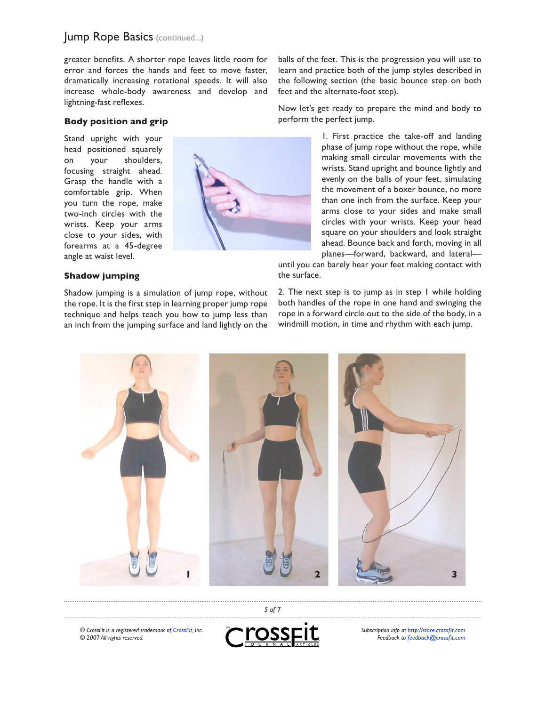greater benefits. A shorter rope leaves little room for error and forces the hands and feet to move faster, dramatically increasing rotational speeds. It will also increase whole-body awareness and develop and lightning-fast reflexes.

### **Body position and grip**

Stand upright with your head positioned squarely on your shoulders, focusing straight ahead. Grasp the handle with a comfortable grip. When you turn the rope, make two-inch circles with the wrists. Keep your arms close to your sides, with forearms at a 45-degree angle at waist level.

#### **Shadow jumping**

Shadow jumping is a simulation of jump rope, without the rope. It is the first step in learning proper jump rope technique and helps teach you how to jump less than an inch from the jumping surface and land lightly on the



balls of the feet. This is the progression you will use to learn and practice both of the jump styles described in the following section (the basic bounce step on both feet and the alternate-foot step).

Now let's get ready to prepare the mind and body to perform the perfect jump.

> 1. First practice the take-off and landing phase of jump rope without the rope, while making small circular movements with the wrists. Stand upright and bounce lightly and evenly on the balls of your feet, simulating the movement of a boxer bounce, no more than one inch from the surface. Keep your arms close to your sides and make small circles with your wrists. Keep your head square on your shoulders and look straight ahead. Bounce back and forth, moving in all planes—forward, backward, and lateral—

until you can barely hear your feet making contact with the surface.

2. The next step is to jump as in step 1 while holding both handles of the rope in one hand and swinging the rope in a forward circle out to the side of the body, in a windmill motion, in time and rhythm with each jump.



*® CrossFit is a registered trademark of [CrossFit,](http://www.crossfit.com) Inc. © 2007 All rights reserved.*



*5 of 7*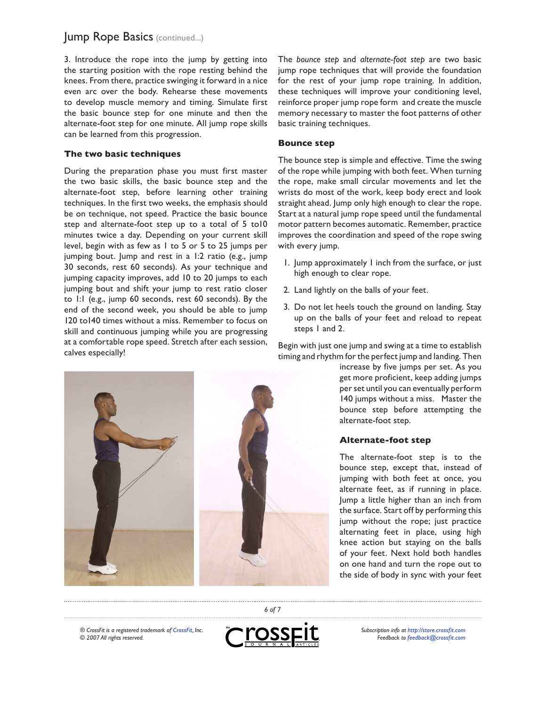3. Introduce the rope into the jump by getting into the starting position with the rope resting behind the knees. From there, practice swinging it forward in a nice even arc over the body. Rehearse these movements to develop muscle memory and timing. Simulate first the basic bounce step for one minute and then the alternate-foot step for one minute. All jump rope skills can be learned from this progression.

# **The two basic techniques**

During the preparation phase you must first master the two basic skills, the basic bounce step and the alternate-foot step, before learning other training techniques. In the first two weeks, the emphasis should be on technique, not speed. Practice the basic bounce step and alternate-foot step up to a total of 5 to10 minutes twice a day. Depending on your current skill level, begin with as few as 1 to 5 or 5 to 25 jumps per jumping bout. Jump and rest in a 1:2 ratio (e.g., jump 30 seconds, rest 60 seconds). As your technique and jumping capacity improves, add 10 to 20 jumps to each jumping bout and shift your jump to rest ratio closer to 1:1 (e.g., jump 60 seconds, rest 60 seconds). By the end of the second week, you should be able to jump 120 to140 times without a miss. Remember to focus on skill and continuous jumping while you are progressing at a comfortable rope speed. Stretch after each session, calves especially!



The *bounce step* and *alternate-foot step* are two basic jump rope techniques that will provide the foundation for the rest of your jump rope training. In addition, these techniques will improve your conditioning level, reinforce proper jump rope form and create the muscle memory necessary to master the foot patterns of other basic training techniques.

#### **Bounce step**

The bounce step is simple and effective. Time the swing of the rope while jumping with both feet. When turning the rope, make small circular movements and let the wrists do most of the work, keep body erect and look straight ahead. Jump only high enough to clear the rope. Start at a natural jump rope speed until the fundamental motor pattern becomes automatic. Remember, practice improves the coordination and speed of the rope swing with every jump.

- I. Jump approximately I inch from the surface, or just high enough to clear rope.
- 2. Land lightly on the balls of your feet.
- 3. Do not let heels touch the ground on landing. Stay up on the balls of your feet and reload to repeat steps 1 and 2.

Begin with just one jump and swing at a time to establish timing and rhythm for the perfect jump and landing. Then

> increase by five jumps per set. As you get more proficient, keep adding jumps per set until you can eventually perform 140 jumps without a miss. Master the bounce step before attempting the alternate-foot step.

## **Alternate-foot step**

The alternate-foot step is to the bounce step, except that, instead of jumping with both feet at once, you alternate feet, as if running in place. Jump a little higher than an inch from the surface. Start off by performing this jump without the rope; just practice alternating feet in place, using high knee action but staying on the balls of your feet. Next hold both handles on one hand and turn the rope out to the side of body in sync with your feet

*® CrossFit is a registered trademark of [CrossFit,](http://www.crossfit.com) Inc. © 2007 All rights reserved.*



*6 of 7*